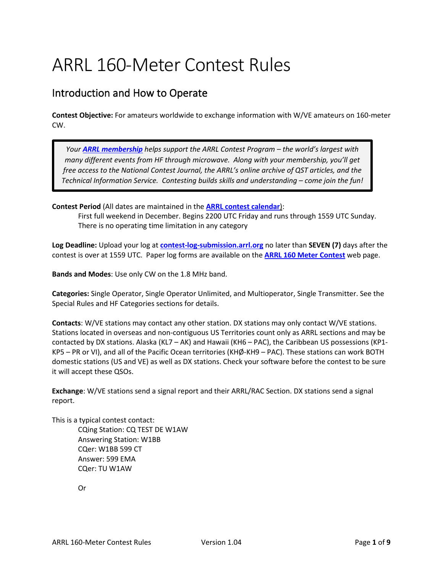# ARRL 160-Meter Contest Rules

## Introduction and How to Operate

**Contest Objective:** For amateurs worldwide to exchange information with W/VE amateurs on 160-meter CW.

*Your [ARRL membership](http://www.arrl.org/membership) helps support the ARRL Contest Program – the world's largest with many different events from HF through microwave. Along with your membership, you'll get free access to the National Contest Journal, the ARRL's online archive of QST articles, and the Technical Information Service. Contesting builds skills and understanding – come join the fun!*

**Contest Period** (All dates are maintained in the **[ARRL contest calendar](http://contests.arrl.org/calendar.php)**):

First full weekend in December. Begins 2200 UTC Friday and runs through 1559 UTC Sunday. There is no operating time limitation in any category

**Log Deadline:** Upload your log at **[contest-log-submission.arrl.org](http://contest-log-submission.arrl.org/)** no later than **SEVEN (7)** days after the contest is over at 1559 UTC. Paper log forms are available on the **[ARRL 160 Meter Contest](http://www.arrl.org/160-meter)** web page.

**Bands and Modes**: Use only CW on the 1.8 MHz band.

**Categories:** Single Operator, Single Operator Unlimited, and Multioperator, Single Transmitter. See the Special Rules and HF Categories sections for details.

**Contacts**: W/VE stations may contact any other station. DX stations may only contact W/VE stations. Stations located in overseas and non-contiguous US Territories count only as ARRL sections and may be contacted by DX stations. Alaska (KL7 – AK) and Hawaii (KH6 – PAC), the Caribbean US possessions (KP1- KP5 – PR or VI), and all of the Pacific Ocean territories (KHØ-KH9 – PAC). These stations can work BOTH domestic stations (US and VE) as well as DX stations. Check your software before the contest to be sure it will accept these QSOs.

**Exchange**: W/VE stations send a signal report and their ARRL/RAC Section. DX stations send a signal report.

This is a typical contest contact:

CQing Station: CQ TEST DE W1AW Answering Station: W1BB CQer: W1BB 599 CT Answer: 599 EMA CQer: TU W1AW

Or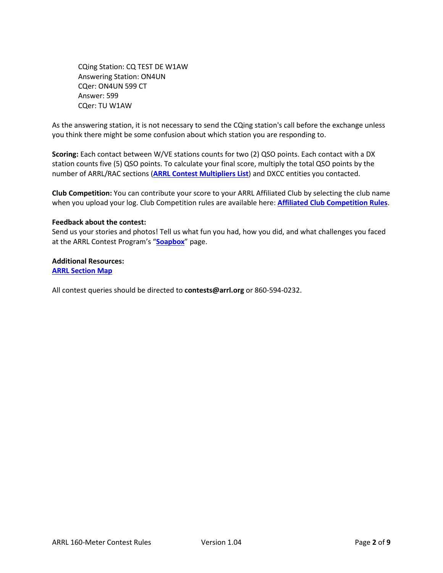CQing Station: CQ TEST DE W1AW Answering Station: ON4UN CQer: ON4UN 599 CT Answer: 599 CQer: TU W1AW

As the answering station, it is not necessary to send the CQing station's call before the exchange unless you think there might be some confusion about which station you are responding to.

**Scoring:** Each contact between W/VE stations counts for two (2) QSO points. Each contact with a DX station counts five (5) QSO points. To calculate your final score, multiply the total QSO points by the number of ARRL/RAC sections (**ARRL Contest [Multipliers List](http://contests.arrl.org/contestmultipliers.php)**) and DXCC entities you contacted.

**Club Competition:** You can contribute your score to your ARRL Affiliated Club by selecting the club name when you upload your log. Club Competition rules are available here: **[Affiliated Club Competition Rules](http://arrl.org/contest-club-tools)**.

#### **Feedback about the contest:**

Send us your stories and photos! Tell us what fun you had, how you did, and what challenges you faced at the ARRL Contest Program's "**[Soapbox](https://contests.arrl.org/contestsoapbox.php)**" page.

**Additional Resources: [ARRL Section Map](http://www.arrl.org/files/file/Awards%20Application%20Forms/WASmap_Color.pdf)**

All contest queries should be directed to **contests@arrl.org** or 860-594-0232.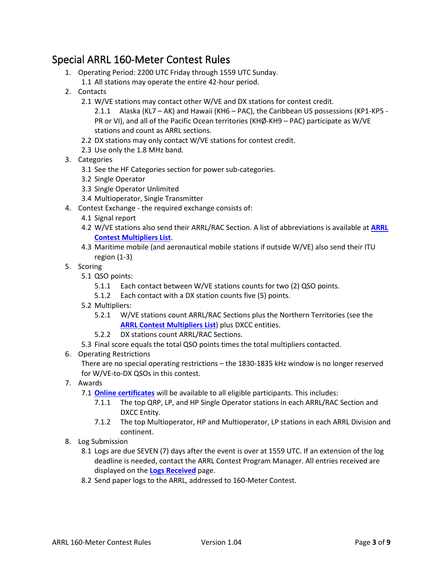## Special ARRL 160-Meter Contest Rules

- 1. Operating Period: 2200 UTC Friday through 1559 UTC Sunday.
	- 1.1 All stations may operate the entire 42-hour period.
- 2. Contacts
	- 2.1 W/VE stations may contact other W/VE and DX stations for contest credit.
		- 2.1.1 Alaska (KL7 AK) and Hawaii (KH6 PAC), the Caribbean US possessions (KP1-KP5 PR or VI), and all of the Pacific Ocean territories (KHØ-KH9 – PAC) participate as W/VE stations and count as ARRL sections.
	- 2.2 DX stations may only contact W/VE stations for contest credit.
	- 2.3 Use only the 1.8 MHz band.
- 3. Categories
	- 3.1 See the HF Categories section for power sub-categories.
	- 3.2 Single Operator
	- 3.3 Single Operator Unlimited
	- 3.4 Multioperator, Single Transmitter
- 4. Contest Exchange the required exchange consists of:
	- 4.1 Signal report
	- 4.2 W/VE stations also send their ARRL/RAC Section. A list of abbreviations is available at **[ARRL](http://contests.arrl.org/contestmultipliers.php)  [Contest Multipliers List](http://contests.arrl.org/contestmultipliers.php)**.
	- 4.3 Maritime mobile (and aeronautical mobile stations if outside W/VE) also send their ITU region (1-3)
- 5. Scoring
	- 5.1 QSO points:
		- 5.1.1 Each contact between W/VE stations counts for two (2) QSO points.
		- 5.1.2 Each contact with a DX station counts five (5) points.
	- 5.2 Multipliers:
		- 5.2.1 W/VE stations count ARRL/RAC Sections plus the Northern Territories (see the **[ARRL Contest Multipliers List](http://contests.arrl.org/contestmultipliers.php)**) plus DXCC entities.
		- 5.2.2 DX stations count ARRL/RAC Sections.
	- 5.3 Final score equals the total QSO points times the total multipliers contacted.
- 6. Operating Restrictions

There are no special operating restrictions – the 1830-1835 kHz window is no longer reserved for W/VE-to-DX QSOs in this contest.

- 7. Awards
	- 7.1 **[Online certificates](http://contests.arrl.org/certificates.php)** will be available to all eligible participants. This includes:
		- 7.1.1 The top QRP, LP, and HP Single Operator stations in each ARRL/RAC Section and DXCC Entity.
		- 7.1.2 The top Multioperator, HP and Multioperator, LP stations in each ARRL Division and continent.
- 8. Log Submission
	- 8.1 Logs are due SEVEN (7) days after the event is over at 1559 UTC. If an extension of the log deadline is needed, contact the ARRL Contest Program Manager. All entries received are displayed on the **[Logs Received](http://contests.arrl.org/logsreceived.php)** page.
	- 8.2 Send paper logs to the ARRL, addressed to 160-Meter Contest.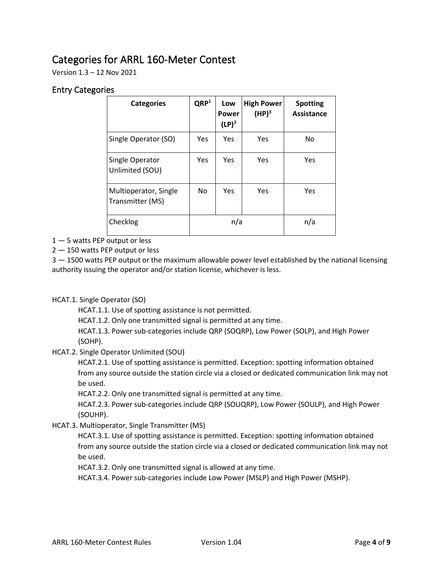## Categories for ARRL 160-Meter Contest

Version 1.3 – 12 Nov 2021

#### Entry Categories

| <b>Categories</b>                         | QRP <sup>1</sup> | Low<br>Power<br>$(LP)^2$ | <b>High Power</b><br>(HP) <sup>3</sup> | <b>Spotting</b><br>Assistance |
|-------------------------------------------|------------------|--------------------------|----------------------------------------|-------------------------------|
| Single Operator (SO)                      | Yes              | Yes                      | Yes                                    | No                            |
| Single Operator<br>Unlimited (SOU)        | Yes              | Yes                      | Yes                                    | Yes                           |
| Multioperator, Single<br>Transmitter (MS) | No.              | Yes                      | Yes                                    | Yes                           |
| Checklog                                  | n/a              |                          |                                        | n/a                           |

1 — 5 watts PEP output or less

2 — 150 watts PEP output or less

3 – 1500 watts PEP output or the maximum allowable power level established by the national licensing authority issuing the operator and/or station license, whichever is less.

HCAT.1. Single Operator (SO)

HCAT.1.1. Use of spotting assistance is not permitted.

HCAT.1.2. Only one transmitted signal is permitted at any time.

HCAT.1.3. Power sub-categories include QRP (SOQRP), Low Power (SOLP), and High Power (SOHP).

HCAT.2. Single Operator Unlimited (SOU)

HCAT.2.1. Use of spotting assistance is permitted. Exception: spotting information obtained from any source outside the station circle via a closed or dedicated communication link may not be used.

HCAT.2.2. Only one transmitted signal is permitted at any time.

HCAT.2.3. Power sub-categories include QRP (SOUQRP), Low Power (SOULP), and High Power (SOUHP).

HCAT.3. Multioperator, Single Transmitter (MS)

HCAT.3.1. Use of spotting assistance is permitted. Exception: spotting information obtained from any source outside the station circle via a closed or dedicated communication link may not be used.

HCAT.3.2. Only one transmitted signal is allowed at any time.

HCAT.3.4. Power sub-categories include Low Power (MSLP) and High Power (MSHP).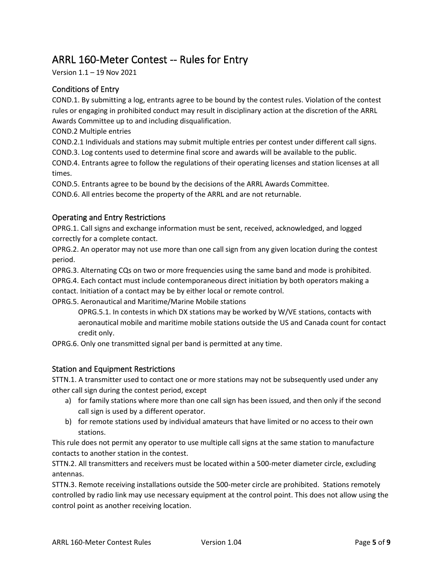## ARRL 160-Meter Contest -- Rules for Entry

Version 1.1 – 19 Nov 2021

### Conditions of Entry

COND.1. By submitting a log, entrants agree to be bound by the contest rules. Violation of the contest rules or engaging in prohibited conduct may result in disciplinary action at the discretion of the ARRL Awards Committee up to and including disqualification.

COND.2 Multiple entries

COND.2.1 Individuals and stations may submit multiple entries per contest under different call signs.

COND.3. Log contents used to determine final score and awards will be available to the public.

COND.4. Entrants agree to follow the regulations of their operating licenses and station licenses at all times.

COND.5. Entrants agree to be bound by the decisions of the ARRL Awards Committee.

COND.6. All entries become the property of the ARRL and are not returnable.

#### Operating and Entry Restrictions

OPRG.1. Call signs and exchange information must be sent, received, acknowledged, and logged correctly for a complete contact.

OPRG.2. An operator may not use more than one call sign from any given location during the contest period.

OPRG.3. Alternating CQs on two or more frequencies using the same band and mode is prohibited. OPRG.4. Each contact must include contemporaneous direct initiation by both operators making a contact. Initiation of a contact may be by either local or remote control.

OPRG.5. Aeronautical and Maritime/Marine Mobile stations

OPRG.5.1. In contests in which DX stations may be worked by W/VE stations, contacts with aeronautical mobile and maritime mobile stations outside the US and Canada count for contact credit only.

OPRG.6. Only one transmitted signal per band is permitted at any time.

#### Station and Equipment Restrictions

STTN.1. A transmitter used to contact one or more stations may not be subsequently used under any other call sign during the contest period, except

- a) for family stations where more than one call sign has been issued, and then only if the second call sign is used by a different operator.
- b) for remote stations used by individual amateurs that have limited or no access to their own stations.

This rule does not permit any operator to use multiple call signs at the same station to manufacture contacts to another station in the contest.

STTN.2. All transmitters and receivers must be located within a 500-meter diameter circle, excluding antennas.

STTN.3. Remote receiving installations outside the 500-meter circle are prohibited. Stations remotely controlled by radio link may use necessary equipment at the control point. This does not allow using the control point as another receiving location.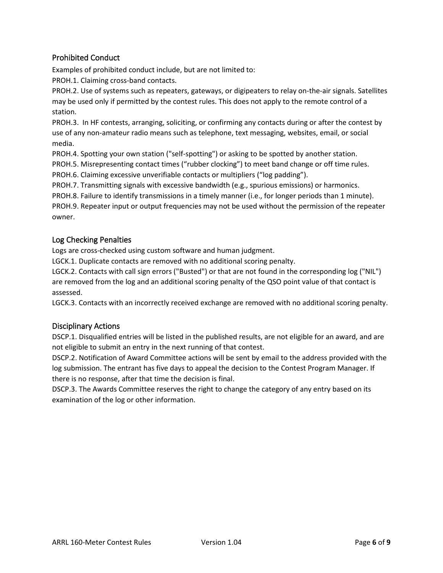### Prohibited Conduct

Examples of prohibited conduct include, but are not limited to:

PROH.1. Claiming cross-band contacts.

PROH.2. Use of systems such as repeaters, gateways, or digipeaters to relay on-the-air signals. Satellites may be used only if permitted by the contest rules. This does not apply to the remote control of a station.

PROH.3. In HF contests, arranging, soliciting, or confirming any contacts during or after the contest by use of any non-amateur radio means such as telephone, text messaging, websites, email, or social media.

PROH.4. Spotting your own station ("self-spotting") or asking to be spotted by another station.

PROH.5. Misrepresenting contact times ("rubber clocking") to meet band change or off time rules.

PROH.6. Claiming excessive unverifiable contacts or multipliers ("log padding").

PROH.7. Transmitting signals with excessive bandwidth (e.g., spurious emissions) or harmonics.

PROH.8. Failure to identify transmissions in a timely manner (i.e., for longer periods than 1 minute).

PROH.9. Repeater input or output frequencies may not be used without the permission of the repeater owner.

#### Log Checking Penalties

Logs are cross-checked using custom software and human judgment.

LGCK.1. Duplicate contacts are removed with no additional scoring penalty.

LGCK.2. Contacts with call sign errors ("Busted") or that are not found in the corresponding log ("NIL") are removed from the log and an additional scoring penalty of the QSO point value of that contact is assessed.

LGCK.3. Contacts with an incorrectly received exchange are removed with no additional scoring penalty.

#### Disciplinary Actions

DSCP.1. Disqualified entries will be listed in the published results, are not eligible for an award, and are not eligible to submit an entry in the next running of that contest.

DSCP.2. Notification of Award Committee actions will be sent by email to the address provided with the log submission. The entrant has five days to appeal the decision to the Contest Program Manager. If there is no response, after that time the decision is final.

DSCP.3. The Awards Committee reserves the right to change the category of any entry based on its examination of the log or other information.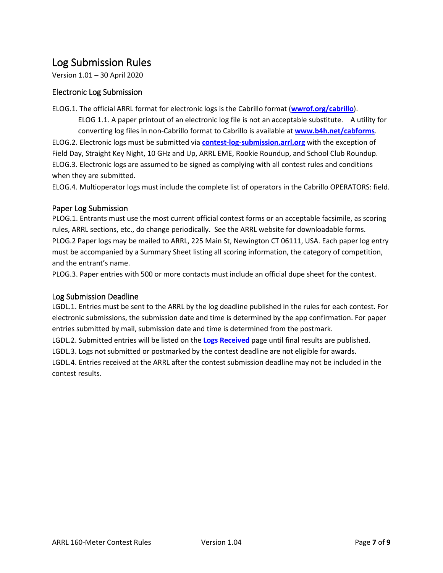## Log Submission Rules

Version 1.01 – 30 April 2020

#### Electronic Log Submission

ELOG.1. The official ARRL format for electronic logs is the Cabrillo format (**[wwrof.org/cabrillo](http://wwrof.org/cabrillo)**).

ELOG 1.1. A paper printout of an electronic log file is not an acceptable substitute. A utility for converting log files in non-Cabrillo format to Cabrillo is available at **[www.b4h.net/cabforms](http://www.b4h.net/cabforms)**. ELOG.2. Electronic logs must be submitted via **[contest-log-submission.arrl.org](http://contest-log-submission.arrl.org/)** with the exception of Field Day, Straight Key Night, 10 GHz and Up, ARRL EME, Rookie Roundup, and School Club Roundup. ELOG.3. Electronic logs are assumed to be signed as complying with all contest rules and conditions when they are submitted.

ELOG.4. Multioperator logs must include the complete list of operators in the Cabrillo OPERATORS: field.

#### Paper Log Submission

PLOG.1. Entrants must use the most current official contest forms or an acceptable facsimile, as scoring rules, ARRL sections, etc., do change periodically. See the ARRL website for downloadable forms. PLOG.2 Paper logs may be mailed to ARRL, 225 Main St, Newington CT 06111, USA. Each paper log entry must be accompanied by a Summary Sheet listing all scoring information, the category of competition, and the entrant's name.

PLOG.3. Paper entries with 500 or more contacts must include an official dupe sheet for the contest.

#### Log Submission Deadline

LGDL.1. Entries must be sent to the ARRL by the log deadline published in the rules for each contest. For electronic submissions, the submission date and time is determined by the app confirmation. For paper entries submitted by mail, submission date and time is determined from the postmark.

LGDL.2. Submitted entries will be listed on the **[Logs Received](http://contests.arrl.org/logsreceived.php)** page until final results are published.

LGDL.3. Logs not submitted or postmarked by the contest deadline are not eligible for awards.

LGDL.4. Entries received at the ARRL after the contest submission deadline may not be included in the contest results.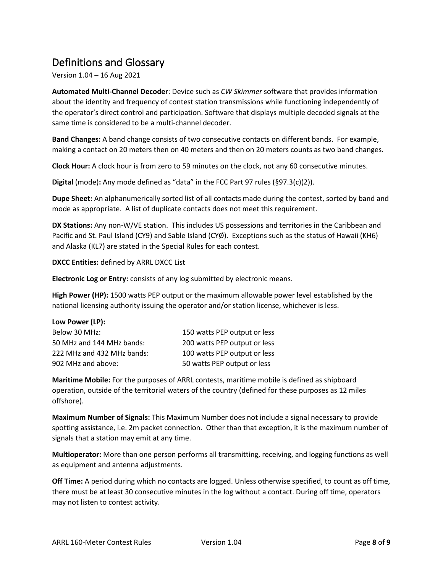## Definitions and Glossary

Version 1.04 – 16 Aug 2021

**Automated Multi-Channel Decoder**: Device such as *CW Skimmer* software that provides information about the identity and frequency of contest station transmissions while functioning independently of the operator's direct control and participation. Software that displays multiple decoded signals at the same time is considered to be a multi-channel decoder.

**Band Changes:** A band change consists of two consecutive contacts on different bands. For example, making a contact on 20 meters then on 40 meters and then on 20 meters counts as two band changes.

**Clock Hour:** A clock hour is from zero to 59 minutes on the clock, not any 60 consecutive minutes.

**Digital** (mode)**:** Any mode defined as "data" in the FCC Part 97 rules (§97.3(c)(2)).

**Dupe Sheet:** An alphanumerically sorted list of all contacts made during the contest, sorted by band and mode as appropriate. A list of duplicate contacts does not meet this requirement.

**DX Stations:** Any non-W/VE station. This includes US possessions and territories in the Caribbean and Pacific and St. Paul Island (CY9) and Sable Island (CYØ). Exceptions such as the status of Hawaii (KH6) and Alaska (KL7) are stated in the Special Rules for each contest.

**DXCC Entities:** defined by ARRL DXCC List

**Electronic Log or Entry:** consists of any log submitted by electronic means.

**High Power (HP):** 1500 watts PEP output or the maximum allowable power level established by the national licensing authority issuing the operator and/or station license, whichever is less.

| Low Power (LP):            |                              |
|----------------------------|------------------------------|
| Below 30 MHz:              | 150 watts PEP output or less |
| 50 MHz and 144 MHz bands:  | 200 watts PEP output or less |
| 222 MHz and 432 MHz bands: | 100 watts PEP output or less |
| 902 MHz and above:         | 50 watts PEP output or less  |

**Maritime Mobile:** For the purposes of ARRL contests, maritime mobile is defined as shipboard operation, outside of the territorial waters of the country (defined for these purposes as 12 miles offshore).

**Maximum Number of Signals:** This Maximum Number does not include a signal necessary to provide spotting assistance, i.e. 2m packet connection. Other than that exception, it is the maximum number of signals that a station may emit at any time.

**Multioperator:** More than one person performs all transmitting, receiving, and logging functions as well as equipment and antenna adjustments.

**Off Time:** A period during which no contacts are logged. Unless otherwise specified, to count as off time, there must be at least 30 consecutive minutes in the log without a contact. During off time, operators may not listen to contest activity.